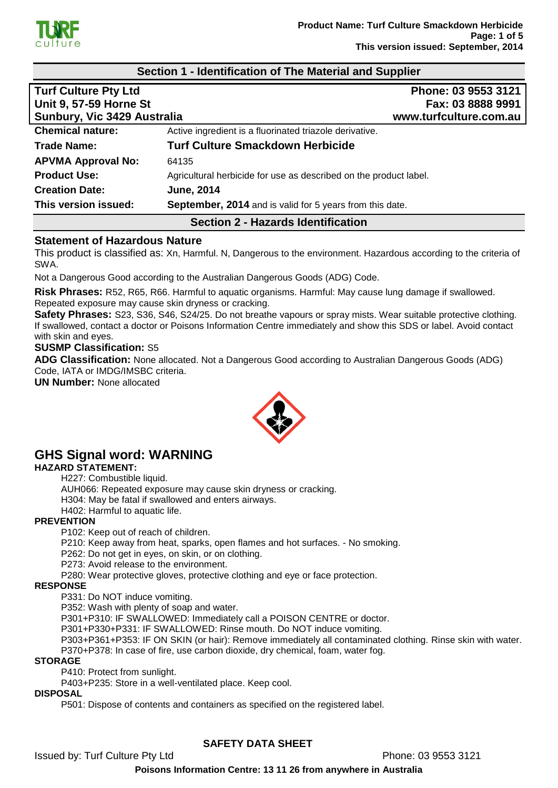

# **Section 1 - Identification of The Material and Supplier Turf Culture Pty Ltd Phone: 03 9553 3121 Unit 9, 57-59 Horne St Fax: 03 8888 9991 Sunbury, Vic 3429 Australia www.turfculture.com.au Chemical nature:** Active ingredient is a fluorinated triazole derivative. **Trade Name: Turf Culture Smackdown Herbicide APVMA Approval No:** 64135 **Product Use:** Agricultural herbicide for use as described on the product label. **Creation Date: June, 2014 This version issued: September, 2014** and is valid for 5 years from this date.

# **Section 2 - Hazards Identification**

### **Statement of Hazardous Nature**

This product is classified as: Xn, Harmful. N, Dangerous to the environment. Hazardous according to the criteria of SWA.

Not a Dangerous Good according to the Australian Dangerous Goods (ADG) Code.

**Risk Phrases:** R52, R65, R66. Harmful to aquatic organisms. Harmful: May cause lung damage if swallowed. Repeated exposure may cause skin dryness or cracking.

**Safety Phrases:** S23, S36, S46, S24/25. Do not breathe vapours or spray mists. Wear suitable protective clothing. If swallowed, contact a doctor or Poisons Information Centre immediately and show this SDS or label. Avoid contact with skin and eyes.

#### **SUSMP Classification:** S5

**ADG Classification:** None allocated. Not a Dangerous Good according to Australian Dangerous Goods (ADG) Code, IATA or IMDG/IMSBC criteria.

**UN Number:** None allocated



# **GHS Signal word: WARNING**

#### **HAZARD STATEMENT:**

H227: Combustible liquid.

AUH066: Repeated exposure may cause skin dryness or cracking.

H304: May be fatal if swallowed and enters airways.

H402: Harmful to aquatic life.

#### **PREVENTION**

P102: Keep out of reach of children.

P210: Keep away from heat, sparks, open flames and hot surfaces. - No smoking.

P262: Do not get in eyes, on skin, or on clothing.

P273: Avoid release to the environment.

P280: Wear protective gloves, protective clothing and eye or face protection.

#### **RESPONSE**

P331: Do NOT induce vomiting.

P352: Wash with plenty of soap and water.

P301+P310: IF SWALLOWED: Immediately call a POISON CENTRE or doctor.

P301+P330+P331: IF SWALLOWED: Rinse mouth. Do NOT induce vomiting.

P303+P361+P353: IF ON SKIN (or hair): Remove immediately all contaminated clothing. Rinse skin with water. P370+P378: In case of fire, use carbon dioxide, dry chemical, foam, water fog.

#### **STORAGE**

P410: Protect from sunlight.

P403+P235: Store in a well-ventilated place. Keep cool.

#### **DISPOSAL**

P501: Dispose of contents and containers as specified on the registered label.

# **SAFETY DATA SHEET**

Issued by: Turf Culture Pty Ltd Phone: 03 9553 3121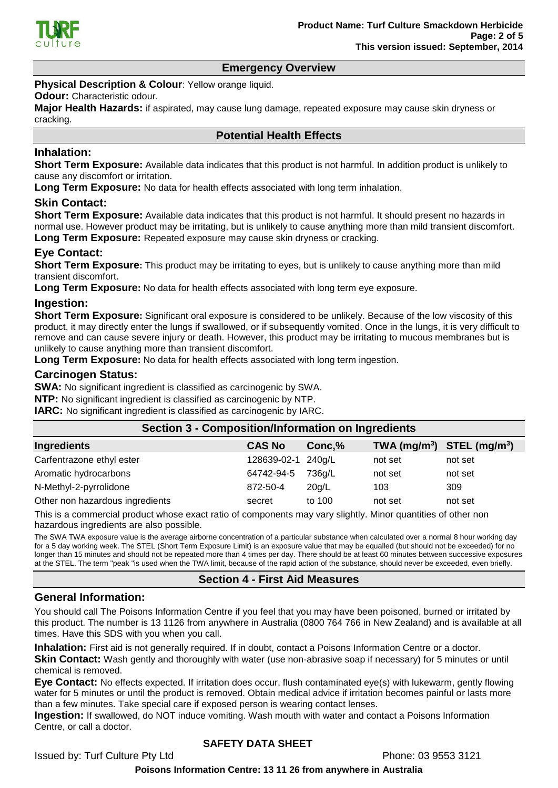

#### **Emergency Overview**

**Physical Description & Colour: Yellow orange liquid.** 

#### **Odour:** Characteristic odour.

**Major Health Hazards:** if aspirated, may cause lung damage, repeated exposure may cause skin dryness or cracking.

#### **Potential Health Effects**

#### **Inhalation:**

**Short Term Exposure:** Available data indicates that this product is not harmful. In addition product is unlikely to cause any discomfort or irritation.

**Long Term Exposure:** No data for health effects associated with long term inhalation.

#### **Skin Contact:**

**Short Term Exposure:** Available data indicates that this product is not harmful. It should present no hazards in normal use. However product may be irritating, but is unlikely to cause anything more than mild transient discomfort. **Long Term Exposure:** Repeated exposure may cause skin dryness or cracking.

# **Eye Contact:**

**Short Term Exposure:** This product may be irritating to eyes, but is unlikely to cause anything more than mild transient discomfort.

**Long Term Exposure:** No data for health effects associated with long term eye exposure.

#### **Ingestion:**

**Short Term Exposure:** Significant oral exposure is considered to be unlikely. Because of the low viscosity of this product, it may directly enter the lungs if swallowed, or if subsequently vomited. Once in the lungs, it is very difficult to remove and can cause severe injury or death. However, this product may be irritating to mucous membranes but is unlikely to cause anything more than transient discomfort.

**Long Term Exposure:** No data for health effects associated with long term ingestion.

#### **Carcinogen Status:**

**SWA:** No significant ingredient is classified as carcinogenic by SWA.

**NTP:** No significant ingredient is classified as carcinogenic by NTP.

**IARC:** No significant ingredient is classified as carcinogenic by IARC.

| <b>Section 3 - Composition/Information on Ingredients</b> |                    |        |                                |         |
|-----------------------------------------------------------|--------------------|--------|--------------------------------|---------|
| Ingredients                                               | <b>CAS No</b>      | Conc,% | TWA $(mg/m^3)$ STEL $(mg/m^3)$ |         |
| Carfentrazone ethyl ester                                 | 128639-02-1 240g/L |        | not set                        | not set |
| Aromatic hydrocarbons                                     | 64742-94-5         | 736g/L | not set                        | not set |
| N-Methyl-2-pyrrolidone                                    | 872-50-4           | 20q/L  | 103                            | 309     |
| Other non hazardous ingredients                           | secret             | to 100 | not set                        | not set |

This is a commercial product whose exact ratio of components may vary slightly. Minor quantities of other non hazardous ingredients are also possible.

The SWA TWA exposure value is the average airborne concentration of a particular substance when calculated over a normal 8 hour working day for a 5 day working week. The STEL (Short Term Exposure Limit) is an exposure value that may be equalled (but should not be exceeded) for no longer than 15 minutes and should not be repeated more than 4 times per day. There should be at least 60 minutes between successive exposures at the STEL. The term "peak "is used when the TWA limit, because of the rapid action of the substance, should never be exceeded, even briefly.

#### **Section 4 - First Aid Measures**

#### **General Information:**

You should call The Poisons Information Centre if you feel that you may have been poisoned, burned or irritated by this product. The number is 13 1126 from anywhere in Australia (0800 764 766 in New Zealand) and is available at all times. Have this SDS with you when you call.

**Inhalation:** First aid is not generally required. If in doubt, contact a Poisons Information Centre or a doctor. **Skin Contact:** Wash gently and thoroughly with water (use non-abrasive soap if necessary) for 5 minutes or until chemical is removed.

**Eye Contact:** No effects expected. If irritation does occur, flush contaminated eye(s) with lukewarm, gently flowing water for 5 minutes or until the product is removed. Obtain medical advice if irritation becomes painful or lasts more than a few minutes. Take special care if exposed person is wearing contact lenses.

**Ingestion:** If swallowed, do NOT induce vomiting. Wash mouth with water and contact a Poisons Information Centre, or call a doctor.

### **SAFETY DATA SHEET**

Issued by: Turf Culture Pty Ltd Phone: 03 9553 3121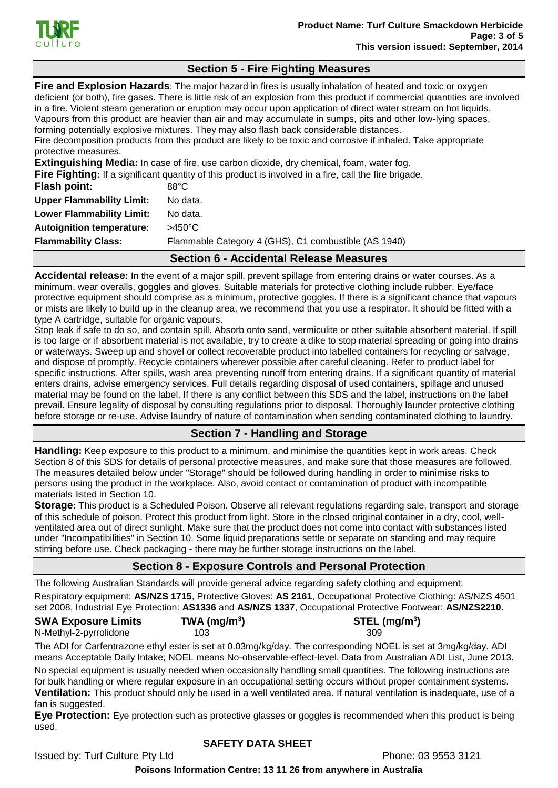

# **Section 5 - Fire Fighting Measures**

**Fire and Explosion Hazards**: The major hazard in fires is usually inhalation of heated and toxic or oxygen deficient (or both), fire gases. There is little risk of an explosion from this product if commercial quantities are involved in a fire. Violent steam generation or eruption may occur upon application of direct water stream on hot liquids. Vapours from this product are heavier than air and may accumulate in sumps, pits and other low-lying spaces, forming potentially explosive mixtures. They may also flash back considerable distances. Fire decomposition products from this product are likely to be toxic and corrosive if inhaled. Take appropriate protective measures.

**Extinguishing Media:** In case of fire, use carbon dioxide, dry chemical, foam, water fog.

**Fire Fighting:** If a significant quantity of this product is involved in a fire, call the fire brigade.

| <b>Flammability Class:</b>       | Flammable Category 4 (GHS), C1 combustible (AS 1940) |
|----------------------------------|------------------------------------------------------|
| <b>Autoignition temperature:</b> | $>450^{\circ}$ C                                     |
| <b>Lower Flammability Limit:</b> | No data.                                             |
| <b>Upper Flammability Limit:</b> | No data.                                             |
| <b>Flash point:</b>              | $88^{\circ}$ C                                       |

#### **Section 6 - Accidental Release Measures**

**Accidental release:** In the event of a major spill, prevent spillage from entering drains or water courses. As a minimum, wear overalls, goggles and gloves. Suitable materials for protective clothing include rubber. Eye/face protective equipment should comprise as a minimum, protective goggles. If there is a significant chance that vapours or mists are likely to build up in the cleanup area, we recommend that you use a respirator. It should be fitted with a type A cartridge, suitable for organic vapours.

Stop leak if safe to do so, and contain spill. Absorb onto sand, vermiculite or other suitable absorbent material. If spill is too large or if absorbent material is not available, try to create a dike to stop material spreading or going into drains or waterways. Sweep up and shovel or collect recoverable product into labelled containers for recycling or salvage, and dispose of promptly. Recycle containers wherever possible after careful cleaning. Refer to product label for specific instructions. After spills, wash area preventing runoff from entering drains. If a significant quantity of material enters drains, advise emergency services. Full details regarding disposal of used containers, spillage and unused material may be found on the label. If there is any conflict between this SDS and the label, instructions on the label prevail. Ensure legality of disposal by consulting regulations prior to disposal. Thoroughly launder protective clothing before storage or re-use. Advise laundry of nature of contamination when sending contaminated clothing to laundry.

# **Section 7 - Handling and Storage**

**Handling:** Keep exposure to this product to a minimum, and minimise the quantities kept in work areas. Check Section 8 of this SDS for details of personal protective measures, and make sure that those measures are followed. The measures detailed below under "Storage" should be followed during handling in order to minimise risks to persons using the product in the workplace. Also, avoid contact or contamination of product with incompatible materials listed in Section 10.

**Storage:** This product is a Scheduled Poison. Observe all relevant regulations regarding sale, transport and storage of this schedule of poison. Protect this product from light. Store in the closed original container in a dry, cool, wellventilated area out of direct sunlight. Make sure that the product does not come into contact with substances listed under "Incompatibilities" in Section 10. Some liquid preparations settle or separate on standing and may require stirring before use. Check packaging - there may be further storage instructions on the label.

# **Section 8 - Exposure Controls and Personal Protection**

The following Australian Standards will provide general advice regarding safety clothing and equipment:

Respiratory equipment: **AS/NZS 1715**, Protective Gloves: **AS 2161**, Occupational Protective Clothing: AS/NZS 4501 set 2008, Industrial Eye Protection: **AS1336** and **AS/NZS 1337**, Occupational Protective Footwear: **AS/NZS2210**.

| <b>SWA Exposure Limits</b> | TWA (mg/m <sup>3</sup> ) | $STEL$ (mg/m <sup>3</sup> ) |
|----------------------------|--------------------------|-----------------------------|
| N-Methyl-2-pyrrolidone     | 103.                     | 309                         |

The ADI for Carfentrazone ethyl ester is set at 0.03mg/kg/day. The corresponding NOEL is set at 3mg/kg/day. ADI means Acceptable Daily Intake; NOEL means No-observable-effect-level. Data from Australian ADI List, June 2013.

No special equipment is usually needed when occasionally handling small quantities. The following instructions are for bulk handling or where regular exposure in an occupational setting occurs without proper containment systems. **Ventilation:** This product should only be used in a well ventilated area. If natural ventilation is inadequate, use of a fan is suggested.

**Eye Protection:** Eye protection such as protective glasses or goggles is recommended when this product is being used.

### **SAFETY DATA SHEET**

Issued by: Turf Culture Pty Ltd Phone: 03 9553 3121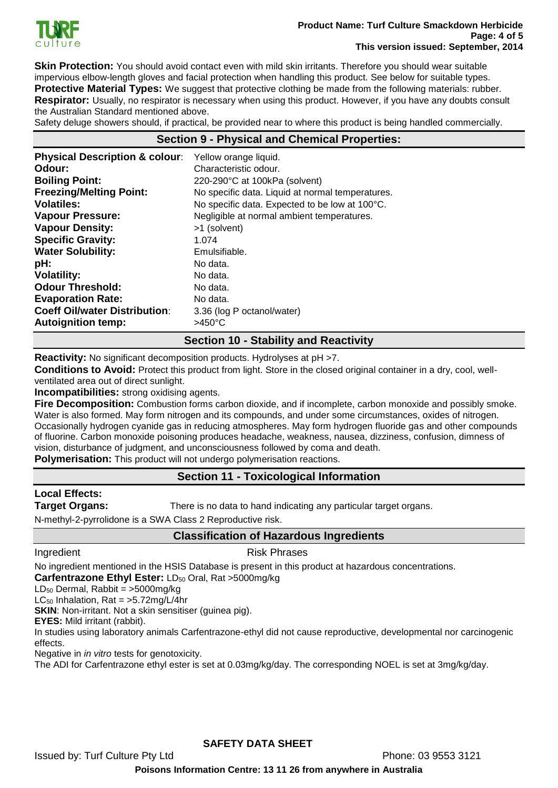

**Skin Protection:** You should avoid contact even with mild skin irritants. Therefore you should wear suitable impervious elbow-length gloves and facial protection when handling this product. See below for suitable types. **Protective Material Types:** We suggest that protective clothing be made from the following materials: rubber. **Respirator:** Usually, no respirator is necessary when using this product. However, if you have any doubts consult the Australian Standard mentioned above.

Safety deluge showers should, if practical, be provided near to where this product is being handled commercially.

# **Section 9 - Physical and Chemical Properties:**

| <b>Physical Description &amp; colour:</b> | Yellow orange liquid.                            |
|-------------------------------------------|--------------------------------------------------|
| Odour:                                    | Characteristic odour.                            |
| <b>Boiling Point:</b>                     | 220-290°C at 100kPa (solvent)                    |
| <b>Freezing/Melting Point:</b>            | No specific data. Liquid at normal temperatures. |
| <b>Volatiles:</b>                         | No specific data. Expected to be low at 100°C.   |
| <b>Vapour Pressure:</b>                   | Negligible at normal ambient temperatures.       |
| <b>Vapour Density:</b>                    | >1 (solvent)                                     |
| <b>Specific Gravity:</b>                  | 1.074                                            |
| <b>Water Solubility:</b>                  | Emulsifiable.                                    |
| pH:                                       | No data.                                         |
| <b>Volatility:</b>                        | No data.                                         |
| <b>Odour Threshold:</b>                   | No data.                                         |
| <b>Evaporation Rate:</b>                  | No data.                                         |
| <b>Coeff Oil/water Distribution:</b>      | 3.36 (log P octanol/water)                       |
| <b>Autoignition temp:</b>                 | $>450^{\circ}$ C                                 |

#### **Section 10 - Stability and Reactivity**

**Reactivity:** No significant decomposition products. Hydrolyses at pH >7.

**Conditions to Avoid:** Protect this product from light. Store in the closed original container in a dry, cool, wellventilated area out of direct sunlight.

**Incompatibilities:** strong oxidising agents.

**Fire Decomposition:** Combustion forms carbon dioxide, and if incomplete, carbon monoxide and possibly smoke. Water is also formed. May form nitrogen and its compounds, and under some circumstances, oxides of nitrogen. Occasionally hydrogen cyanide gas in reducing atmospheres. May form hydrogen fluoride gas and other compounds of fluorine. Carbon monoxide poisoning produces headache, weakness, nausea, dizziness, confusion, dimness of vision, disturbance of judgment, and unconsciousness followed by coma and death.

**Polymerisation:** This product will not undergo polymerisation reactions.

#### **Section 11 - Toxicological Information**

**Local Effects:** 

**Target Organs:** There is no data to hand indicating any particular target organs.

N-methyl-2-pyrrolidone is a SWA Class 2 Reproductive risk.

#### **Classification of Hazardous Ingredients**

#### Ingredient **Risk Phrases**

No ingredient mentioned in the HSIS Database is present in this product at hazardous concentrations.

#### **Carfentrazone Ethyl Ester:** LD<sub>50</sub> Oral, Rat >5000mg/kg

LD<sup>50</sup> Dermal, Rabbit = >5000mg/kg

LC $_{50}$  Inhalation, Rat = >5.72mg/L/4hr

**SKIN:** Non-irritant. Not a skin sensitiser (guinea pig).

**EYES:** Mild irritant (rabbit).

In studies using laboratory animals Carfentrazone-ethyl did not cause reproductive, developmental nor carcinogenic effects.

Negative in *in vitro* tests for genotoxicity.

The ADI for Carfentrazone ethyl ester is set at 0.03mg/kg/day. The corresponding NOEL is set at 3mg/kg/day.

#### **SAFETY DATA SHEET**

Issued by: Turf Culture Pty Ltd Phone: 03 9553 3121